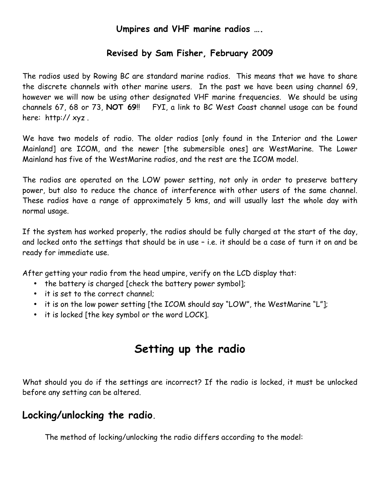#### **Umpires and VHF marine radios ….**

#### **Revised by Sam Fisher, February 2009**

The radios used by Rowing BC are standard marine radios. This means that we have to share the discrete channels with other marine users. In the past we have been using channel 69, however we will now be using other designated VHF marine frequencies. We should be using channels 67, 68 or 73, **NOT 69**!! FYI, a link to BC West Coast channel usage can be found here: http:// xyz .

We have two models of radio. The older radios [only found in the Interior and the Lower Mainland] are ICOM, and the newer [the submersible ones] are WestMarine. The Lower Mainland has five of the WestMarine radios, and the rest are the ICOM model.

The radios are operated on the LOW power setting, not only in order to preserve battery power, but also to reduce the chance of interference with other users of the same channel. These radios have a range of approximately 5 kms, and will usually last the whole day with normal usage.

If the system has worked properly, the radios should be fully charged at the start of the day, and locked onto the settings that should be in use – i.e. it should be a case of turn it on and be ready for immediate use.

After getting your radio from the head umpire, verify on the LCD display that:

- the battery is charged [check the battery power symbol];
- it is set to the correct channel;
- it is on the low power setting [the ICOM should say "LOW", the WestMarine "L"];
- it is locked [the key symbol or the word LOCK].

## **Setting up the radio**

What should you do if the settings are incorrect? If the radio is locked, it must be unlocked before any setting can be altered.

#### **Locking/unlocking the radio.**

The method of locking/unlocking the radio differs according to the model: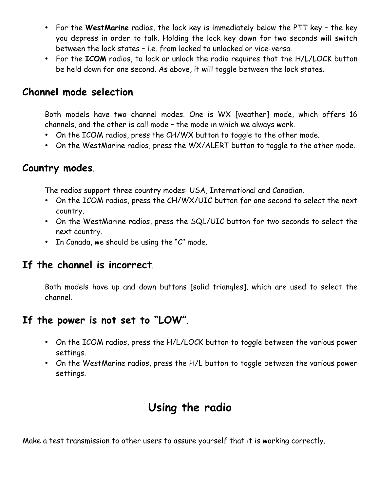- For the **WestMarine** radios, the lock key is immediately below the PTT key the key you depress in order to talk. Holding the lock key down for two seconds will switch between the lock states – i.e. from locked to unlocked or vice-versa.
- For the **ICOM** radios, to lock or unlock the radio requires that the H/L/LOCK button be held down for one second. As above, it will toggle between the lock states.

#### **Channel mode selection**.

Both models have two channel modes. One is WX [weather] mode, which offers 16 channels, and the other is call mode – the mode in which we always work.

- On the ICOM radios, press the CH/WX button to toggle to the other mode.
- On the WestMarine radios, press the WX/ALERT button to toggle to the other mode.

#### **Country modes**.

The radios support three country modes: USA, International and Canadian.

- On the ICOM radios, press the CH/WX/UIC button for one second to select the next country.
- On the WestMarine radios, press the SQL/UIC button for two seconds to select the next country.
- In Canada, we should be using the "C" mode.

## **If the channel is incorrect**.

Both models have up and down buttons [solid triangles], which are used to select the channel.

## **If the power is not set to "LOW"**.

- On the ICOM radios, press the H/L/LOCK button to toggle between the various power settings.
- On the WestMarine radios, press the H/L button to toggle between the various power settings.

# **Using the radio**

Make a test transmission to other users to assure yourself that it is working correctly.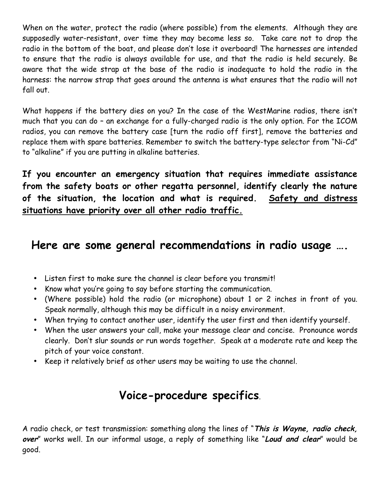When on the water, protect the radio (where possible) from the elements. Although they are supposedly water-resistant, over time they may become less so. Take care not to drop the radio in the bottom of the boat, and please don't lose it overboard! The harnesses are intended to ensure that the radio is always available for use, and that the radio is held securely. Be aware that the wide strap at the base of the radio is inadequate to hold the radio in the harness: the narrow strap that goes around the antenna is what ensures that the radio will not fall out.

What happens if the battery dies on you? In the case of the WestMarine radios, there isn't much that you can do – an exchange for a fully-charged radio is the only option. For the ICOM radios, you can remove the battery case [turn the radio off first], remove the batteries and replace them with spare batteries. Remember to switch the battery-type selector from "Ni-Cd" to "alkaline" if you are putting in alkaline batteries.

**If you encounter an emergency situation that requires immediate assistance from the safety boats or other regatta personnel, identify clearly the nature of the situation, the location and what is required. Safety and distress situations have priority over all other radio traffic.**

## **Here are some general recommendations in radio usage ….**

- Listen first to make sure the channel is clear before you transmit!
- Know what you're going to say before starting the communication.
- (Where possible) hold the radio (or microphone) about 1 or 2 inches in front of you. Speak normally, although this may be difficult in a noisy environment.
- When trying to contact another user, identify the user first and then identify yourself.
- When the user answers your call, make your message clear and concise. Pronounce words clearly. Don't slur sounds or run words together. Speak at a moderate rate and keep the pitch of your voice constant.
- Keep it relatively brief as other users may be waiting to use the channel.

## **Voice-procedure specifics**.

A radio check, or test transmission: something along the lines of "**This is Wayne, radio check, over**" works well. In our informal usage, a reply of something like "**Loud and clear**" would be good.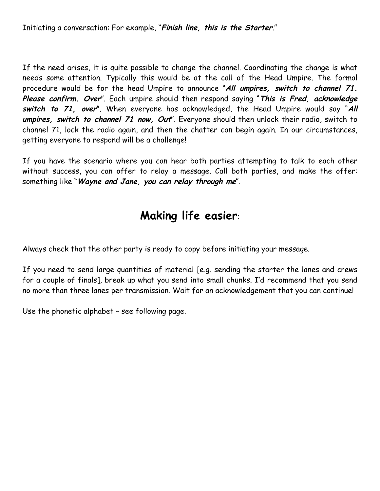Initiating a conversation: For example, "**Finish line, this is the Starter**."

If the need arises, it is quite possible to change the channel. Coordinating the change is what needs some attention. Typically this would be at the call of the Head Umpire. The formal procedure would be for the head Umpire to announce "**All umpires, switch to channel 71. Please confirm. Over**". Each umpire should then respond saying "**This is Fred, acknowledge switch to 71, over**". When everyone has acknowledged, the Head Umpire would say "**All umpires, switch to channel 71 now, Out**". Everyone should then unlock their radio, switch to channel 71, lock the radio again, and then the chatter can begin again. In our circumstances, getting everyone to respond will be a challenge!

If you have the scenario where you can hear both parties attempting to talk to each other without success, you can offer to relay a message. Call both parties, and make the offer: something like "**Wayne and Jane, you can relay through me**".

# **Making life easier**:

Always check that the other party is ready to copy before initiating your message.

If you need to send large quantities of material [e.g. sending the starter the lanes and crews for a couple of finals], break up what you send into small chunks. I'd recommend that you send no more than three lanes per transmission. Wait for an acknowledgement that you can continue!

Use the phonetic alphabet – see following page.